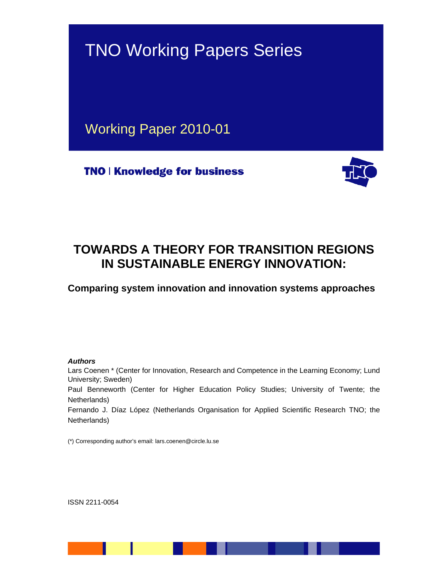

# **TOWARDS A THEORY FOR TRANSITION REGIONS IN SUSTAINABLE ENERGY INNOVATION:**

**Comparing system innovation and innovation systems approaches** 

#### *Authors*

Lars Coenen \* (Center for Innovation, Research and Competence in the Learning Economy; Lund University; Sweden) Paul Benneworth (Center for Higher Education Policy Studies; University of Twente; the Netherlands) Fernando J. Díaz López (Netherlands Organisation for Applied Scientific Research TNO; the Netherlands)

(\*) Corresponding author's email: lars.coenen@circle.lu.se

ISSN 2211-0054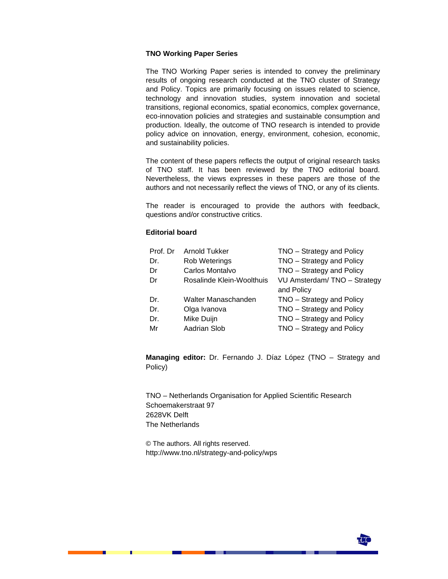#### **TNO Working Paper Series**

The TNO Working Paper series is intended to convey the preliminary results of ongoing research conducted at the TNO cluster of Strategy and Policy. Topics are primarily focusing on issues related to science, technology and innovation studies, system innovation and societal transitions, regional economics, spatial economics, complex governance, eco-innovation policies and strategies and sustainable consumption and production. Ideally, the outcome of TNO research is intended to provide policy advice on innovation, energy, environment, cohesion, economic, and sustainability policies.

The content of these papers reflects the output of original research tasks of TNO staff. It has been reviewed by the TNO editorial board. Nevertheless, the views expresses in these papers are those of the authors and not necessarily reflect the views of TNO, or any of its clients.

The reader is encouraged to provide the authors with feedback, questions and/or constructive critics.

#### **Editorial board**

| Prof. Dr | Arnold Tukker             | TNO - Strategy and Policy   |
|----------|---------------------------|-----------------------------|
| Dr.      | <b>Rob Weterings</b>      | TNO - Strategy and Policy   |
| Dr       | Carlos Montalvo           | TNO - Strategy and Policy   |
| Dr       | Rosalinde Klein-Woolthuis | VU Amsterdam/TNO - Strategy |
|          |                           | and Policy                  |
| Dr.      | Walter Manaschanden       | TNO - Strategy and Policy   |
| Dr.      | Olga Ivanova              | TNO - Strategy and Policy   |
| Dr.      | Mike Duijn                | TNO - Strategy and Policy   |
| Mr       | Aadrian Slob              | TNO - Strategy and Policy   |

**Managing editor:** Dr. Fernando J. Díaz López (TNO – Strategy and Policy)

TNO – Netherlands Organisation for Applied Scientific Research Schoemakerstraat 97 2628VK Delft The Netherlands

© The authors. All rights reserved. http://www.tno.nl/strategy-and-policy/wps

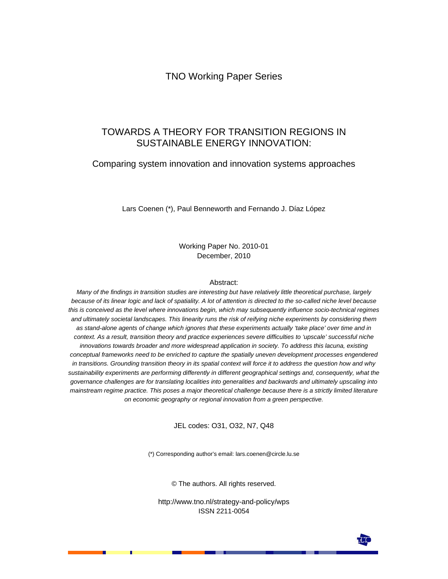TNO Working Paper Series

### TOWARDS A THEORY FOR TRANSITION REGIONS IN SUSTAINABLE ENERGY INNOVATION:

### Comparing system innovation and innovation systems approaches

Lars Coenen (\*), Paul Benneworth and Fernando J. Díaz López

Working Paper No. 2010-01 December, 2010

#### Abstract:

*Many of the findings in transition studies are interesting but have relatively little theoretical purchase, largely because of its linear logic and lack of spatiality. A lot of attention is directed to the so-called niche level because this is conceived as the level where innovations begin, which may subsequently influence socio-technical regimes and ultimately societal landscapes. This linearity runs the risk of reifying niche experiments by considering them as stand-alone agents of change which ignores that these experiments actually 'take place' over time and in context. As a result, transition theory and practice experiences severe difficulties to 'upscale' successful niche innovations towards broader and more widespread application in society. To address this lacuna, existing conceptual frameworks need to be enriched to capture the spatially uneven development processes engendered in transitions. Grounding transition theory in its spatial context will force it to address the question how and why*  sustainability experiments are performing differently in different geographical settings and, consequently, what the *governance challenges are for translating localities into generalities and backwards and ultimately upscaling into mainstream regime practice. This poses a major theoretical challenge because there is a strictly limited literature on economic geography or regional innovation from a green perspective.* 

JEL codes: O31, O32, N7, Q48

(\*) Corresponding author's email: lars.coenen@circle.lu.se

© The authors. All rights reserved.

http://www.tno.nl/strategy-and-policy/wps ISSN 2211-0054

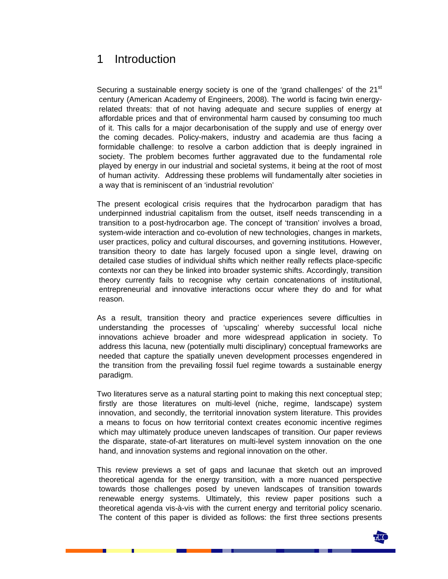### 1 Introduction

Securing a sustainable energy society is one of the 'grand challenges' of the  $21<sup>st</sup>$ century (American Academy of Engineers, 2008). The world is facing twin energyrelated threats: that of not having adequate and secure supplies of energy at affordable prices and that of environmental harm caused by consuming too much of it. This calls for a major decarbonisation of the supply and use of energy over the coming decades. Policy-makers, industry and academia are thus facing a formidable challenge: to resolve a carbon addiction that is deeply ingrained in society. The problem becomes further aggravated due to the fundamental role played by energy in our industrial and societal systems, it being at the root of most of human activity. Addressing these problems will fundamentally alter societies in a way that is reminiscent of an 'industrial revolution'

The present ecological crisis requires that the hydrocarbon paradigm that has underpinned industrial capitalism from the outset, itself needs transcending in a transition to a post-hydrocarbon age. The concept of 'transition' involves a broad, system-wide interaction and co-evolution of new technologies, changes in markets, user practices, policy and cultural discourses, and governing institutions. However, transition theory to date has largely focused upon a single level, drawing on detailed case studies of individual shifts which neither really reflects place-specific contexts nor can they be linked into broader systemic shifts. Accordingly, transition theory currently fails to recognise why certain concatenations of institutional, entrepreneurial and innovative interactions occur where they do and for what reason.

As a result, transition theory and practice experiences severe difficulties in understanding the processes of 'upscaling' whereby successful local niche innovations achieve broader and more widespread application in society. To address this lacuna, new (potentially multi disciplinary) conceptual frameworks are needed that capture the spatially uneven development processes engendered in the transition from the prevailing fossil fuel regime towards a sustainable energy paradigm.

Two literatures serve as a natural starting point to making this next conceptual step; firstly are those literatures on multi-level (niche, regime, landscape) system innovation, and secondly, the territorial innovation system literature. This provides a means to focus on how territorial context creates economic incentive regimes which may ultimately produce uneven landscapes of transition. Our paper reviews the disparate, state-of-art literatures on multi-level system innovation on the one hand, and innovation systems and regional innovation on the other.

This review previews a set of gaps and lacunae that sketch out an improved theoretical agenda for the energy transition, with a more nuanced perspective towards those challenges posed by uneven landscapes of transition towards renewable energy systems. Ultimately, this review paper positions such a theoretical agenda vis-à-vis with the current energy and territorial policy scenario. The content of this paper is divided as follows: the first three sections presents

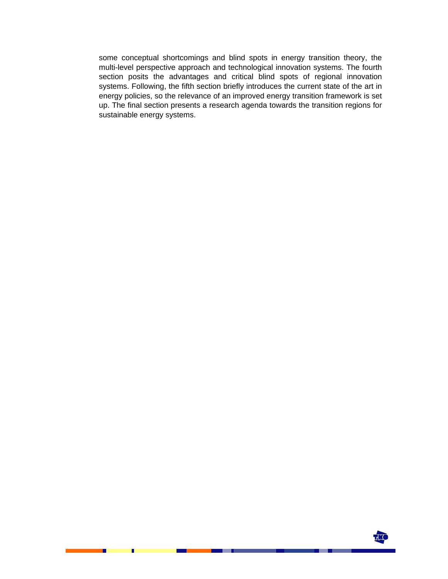some conceptual shortcomings and blind spots in energy transition theory, the multi-level perspective approach and technological innovation systems. The fourth section posits the advantages and critical blind spots of regional innovation systems. Following, the fifth section briefly introduces the current state of the art in energy policies, so the relevance of an improved energy transition framework is set up. The final section presents a research agenda towards the transition regions for sustainable energy systems.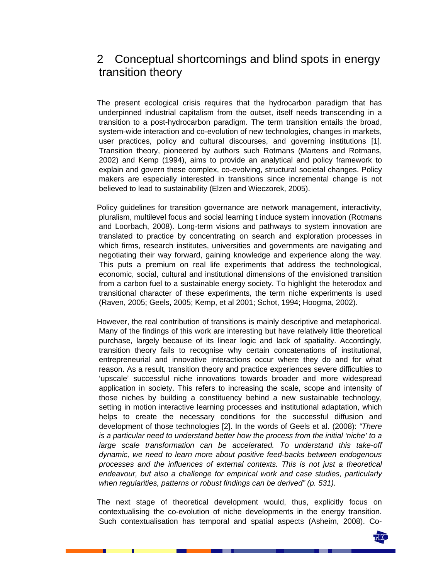## 2 Conceptual shortcomings and blind spots in energy transition theory

The present ecological crisis requires that the hydrocarbon paradigm that has underpinned industrial capitalism from the outset, itself needs transcending in a transition to a post-hydrocarbon paradigm. The term transition entails the broad, system-wide interaction and co-evolution of new technologies, changes in markets, user practices, policy and cultural discourses, and governing institutions [1]. Transition theory, pioneered by authors such Rotmans (Martens and Rotmans, 2002) and Kemp (1994), aims to provide an analytical and policy framework to explain and govern these complex, co-evolving, structural societal changes. Policy makers are especially interested in transitions since incremental change is not believed to lead to sustainability (Elzen and Wieczorek, 2005).

Policy guidelines for transition governance are network management, interactivity, pluralism, multilevel focus and social learning t induce system innovation (Rotmans and Loorbach, 2008). Long-term visions and pathways to system innovation are translated to practice by concentrating on search and exploration processes in which firms, research institutes, universities and governments are navigating and negotiating their way forward, gaining knowledge and experience along the way. This puts a premium on real life experiments that address the technological, economic, social, cultural and institutional dimensions of the envisioned transition from a carbon fuel to a sustainable energy society. To highlight the heterodox and transitional character of these experiments, the term niche experiments is used (Raven, 2005; Geels, 2005; Kemp, et al 2001; Schot, 1994; Hoogma, 2002).

However, the real contribution of transitions is mainly descriptive and metaphorical. Many of the findings of this work are interesting but have relatively little theoretical purchase, largely because of its linear logic and lack of spatiality. Accordingly, transition theory fails to recognise why certain concatenations of institutional, entrepreneurial and innovative interactions occur where they do and for what reason. As a result, transition theory and practice experiences severe difficulties to 'upscale' successful niche innovations towards broader and more widespread application in society. This refers to increasing the scale, scope and intensity of those niches by building a constituency behind a new sustainable technology, setting in motion interactive learning processes and institutional adaptation, which helps to create the necessary conditions for the successful diffusion and development of those technologies [2]. In the words of Geels et al. (2008): *"There is a particular need to understand better how the process from the initial 'niche' to a large scale transformation can be accelerated. To understand this take-off dynamic, we need to learn more about positive feed-backs between endogenous processes and the influences of external contexts. This is not just a theoretical endeavour, but also a challenge for empirical work and case studies, particularly when regularities, patterns or robust findings can be derived" (p. 531).*

The next stage of theoretical development would, thus, explicitly focus on contextualising the co-evolution of niche developments in the energy transition. Such contextualisation has temporal and spatial aspects (Asheim, 2008). Co-

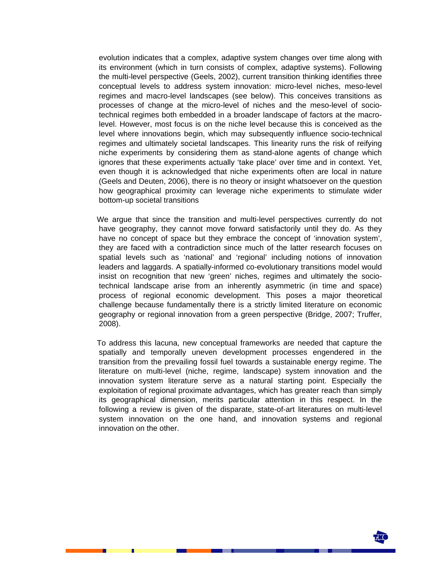evolution indicates that a complex, adaptive system changes over time along with its environment (which in turn consists of complex, adaptive systems). Following the multi-level perspective (Geels, 2002), current transition thinking identifies three conceptual levels to address system innovation: micro-level niches, meso-level regimes and macro-level landscapes (see below). This conceives transitions as processes of change at the micro-level of niches and the meso-level of sociotechnical regimes both embedded in a broader landscape of factors at the macrolevel. However, most focus is on the niche level because this is conceived as the level where innovations begin, which may subsequently influence socio-technical regimes and ultimately societal landscapes. This linearity runs the risk of reifying niche experiments by considering them as stand-alone agents of change which ignores that these experiments actually 'take place' over time and in context. Yet, even though it is acknowledged that niche experiments often are local in nature (Geels and Deuten, 2006), there is no theory or insight whatsoever on the question how geographical proximity can leverage niche experiments to stimulate wider bottom-up societal transitions

We argue that since the transition and multi-level perspectives currently do not have geography, they cannot move forward satisfactorily until they do. As they have no concept of space but they embrace the concept of 'innovation system', they are faced with a contradiction since much of the latter research focuses on spatial levels such as 'national' and 'regional' including notions of innovation leaders and laggards. A spatially-informed co-evolutionary transitions model would insist on recognition that new 'green' niches, regimes and ultimately the sociotechnical landscape arise from an inherently asymmetric (in time and space) process of regional economic development. This poses a major theoretical challenge because fundamentally there is a strictly limited literature on economic geography or regional innovation from a green perspective (Bridge, 2007; Truffer, 2008).

To address this lacuna, new conceptual frameworks are needed that capture the spatially and temporally uneven development processes engendered in the transition from the prevailing fossil fuel towards a sustainable energy regime. The literature on multi-level (niche, regime, landscape) system innovation and the innovation system literature serve as a natural starting point. Especially the exploitation of regional proximate advantages, which has greater reach than simply its geographical dimension, merits particular attention in this respect. In the following a review is given of the disparate, state-of-art literatures on multi-level system innovation on the one hand, and innovation systems and regional innovation on the other.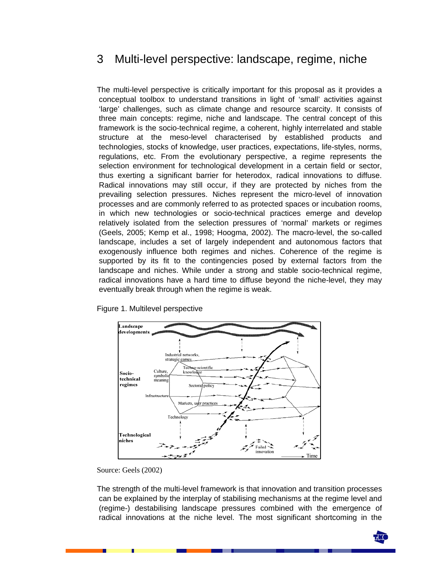## 3 Multi-level perspective: landscape, regime, niche

The multi-level perspective is critically important for this proposal as it provides a conceptual toolbox to understand transitions in light of 'small' activities against 'large' challenges, such as climate change and resource scarcity. It consists of three main concepts: regime, niche and landscape. The central concept of this framework is the socio-technical regime, a coherent, highly interrelated and stable structure at the meso-level characterised by established products and technologies, stocks of knowledge, user practices, expectations, life-styles, norms, regulations, etc. From the evolutionary perspective, a regime represents the selection environment for technological development in a certain field or sector, thus exerting a significant barrier for heterodox, radical innovations to diffuse. Radical innovations may still occur, if they are protected by niches from the prevailing selection pressures. Niches represent the micro-level of innovation processes and are commonly referred to as protected spaces or incubation rooms, in which new technologies or socio-technical practices emerge and develop relatively isolated from the selection pressures of 'normal' markets or regimes (Geels, 2005; Kemp et al., 1998; Hoogma, 2002). The macro-level, the so-called landscape, includes a set of largely independent and autonomous factors that exogenously influence both regimes and niches. Coherence of the regime is supported by its fit to the contingencies posed by external factors from the landscape and niches. While under a strong and stable socio-technical regime, radical innovations have a hard time to diffuse beyond the niche-level, they may eventually break through when the regime is weak.



#### Figure 1. Multilevel perspective

The strength of the multi-level framework is that innovation and transition processes can be explained by the interplay of stabilising mechanisms at the regime level and (regime-) destabilising landscape pressures combined with the emergence of radical innovations at the niche level. The most significant shortcoming in the



Source: Geels (2002)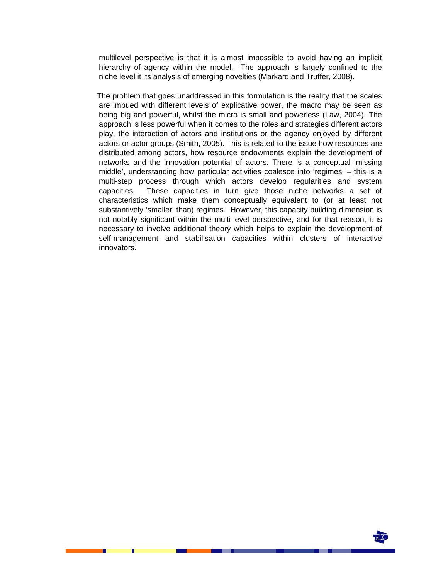multilevel perspective is that it is almost impossible to avoid having an implicit hierarchy of agency within the model. The approach is largely confined to the niche level it its analysis of emerging novelties (Markard and Truffer, 2008).

The problem that goes unaddressed in this formulation is the reality that the scales are imbued with different levels of explicative power, the macro may be seen as being big and powerful, whilst the micro is small and powerless (Law, 2004). The approach is less powerful when it comes to the roles and strategies different actors play, the interaction of actors and institutions or the agency enjoyed by different actors or actor groups (Smith, 2005). This is related to the issue how resources are distributed among actors, how resource endowments explain the development of networks and the innovation potential of actors. There is a conceptual 'missing middle', understanding how particular activities coalesce into 'regimes' – this is a multi-step process through which actors develop regularities and system capacities. These capacities in turn give those niche networks a set of characteristics which make them conceptually equivalent to (or at least not substantively 'smaller' than) regimes. However, this capacity building dimension is not notably significant within the multi-level perspective, and for that reason, it is necessary to involve additional theory which helps to explain the development of self-management and stabilisation capacities within clusters of interactive innovators.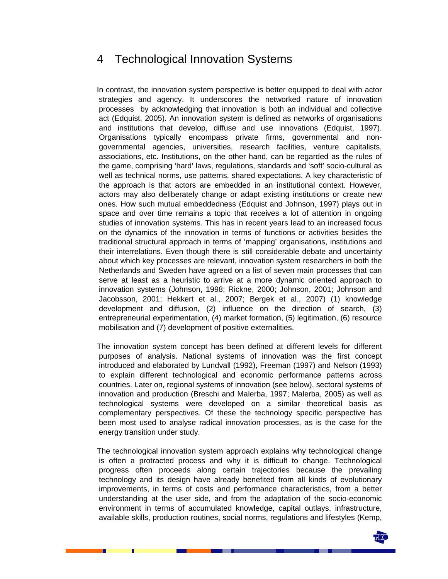### 4 Technological Innovation Systems

In contrast, the innovation system perspective is better equipped to deal with actor strategies and agency. It underscores the networked nature of innovation processes by acknowledging that innovation is both an individual and collective act (Edquist, 2005). An innovation system is defined as networks of organisations and institutions that develop, diffuse and use innovations (Edquist, 1997). Organisations typically encompass private firms, governmental and nongovernmental agencies, universities, research facilities, venture capitalists, associations, etc. Institutions, on the other hand, can be regarded as the rules of the game, comprising 'hard' laws, regulations, standards and 'soft' socio-cultural as well as technical norms, use patterns, shared expectations. A key characteristic of the approach is that actors are embedded in an institutional context. However, actors may also deliberately change or adapt existing institutions or create new ones. How such mutual embeddedness (Edquist and Johnson, 1997) plays out in space and over time remains a topic that receives a lot of attention in ongoing studies of innovation systems. This has in recent years lead to an increased focus on the dynamics of the innovation in terms of functions or activities besides the traditional structural approach in terms of 'mapping' organisations, institutions and their interrelations. Even though there is still considerable debate and uncertainty about which key processes are relevant, innovation system researchers in both the Netherlands and Sweden have agreed on a list of seven main processes that can serve at least as a heuristic to arrive at a more dynamic oriented approach to innovation systems (Johnson, 1998; Rickne, 2000; Johnson, 2001; Johnson and Jacobsson, 2001; Hekkert et al., 2007; Bergek et al., 2007) (1) knowledge development and diffusion, (2) influence on the direction of search, (3) entrepreneurial experimentation, (4) market formation, (5) legitimation, (6) resource mobilisation and (7) development of positive externalities.

The innovation system concept has been defined at different levels for different purposes of analysis. National systems of innovation was the first concept introduced and elaborated by Lundvall (1992), Freeman (1997) and Nelson (1993) to explain different technological and economic performance patterns across countries. Later on, regional systems of innovation (see below), sectoral systems of innovation and production (Breschi and Malerba, 1997; Malerba, 2005) as well as technological systems were developed on a similar theoretical basis as complementary perspectives. Of these the technology specific perspective has been most used to analyse radical innovation processes, as is the case for the energy transition under study.

The technological innovation system approach explains why technological change is often a protracted process and why it is difficult to change. Technological progress often proceeds along certain trajectories because the prevailing technology and its design have already benefited from all kinds of evolutionary improvements, in terms of costs and performance characteristics, from a better understanding at the user side, and from the adaptation of the socio-economic environment in terms of accumulated knowledge, capital outlays, infrastructure, available skills, production routines, social norms, regulations and lifestyles (Kemp,

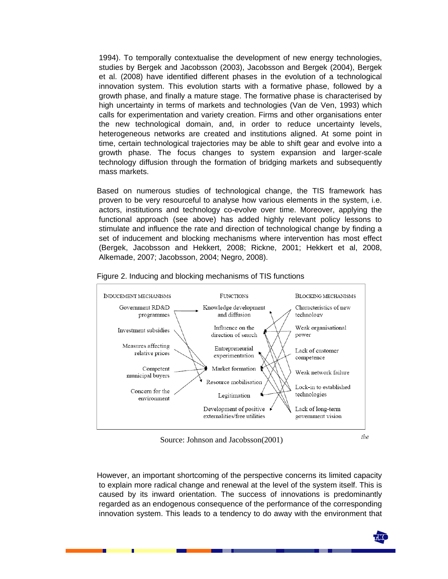1994). To temporally contextualise the development of new energy technologies, studies by Bergek and Jacobsson (2003), Jacobsson and Bergek (2004), Bergek et al. (2008) have identified different phases in the evolution of a technological innovation system. This evolution starts with a formative phase, followed by a growth phase, and finally a mature stage. The formative phase is characterised by high uncertainty in terms of markets and technologies (Van de Ven, 1993) which calls for experimentation and variety creation. Firms and other organisations enter the new technological domain, and, in order to reduce uncertainty levels, heterogeneous networks are created and institutions aligned. At some point in time, certain technological trajectories may be able to shift gear and evolve into a growth phase. The focus changes to system expansion and larger-scale technology diffusion through the formation of bridging markets and subsequently mass markets.

Based on numerous studies of technological change, the TIS framework has proven to be very resourceful to analyse how various elements in the system, i.e. actors, institutions and technology co-evolve over time. Moreover, applying the functional approach (see above) has added highly relevant policy lessons to stimulate and influence the rate and direction of technological change by finding a set of inducement and blocking mechanisms where intervention has most effect (Bergek, Jacobsson and Hekkert, 2008; Rickne, 2001; Hekkert et al, 2008, Alkemade, 2007; Jacobsson, 2004; Negro, 2008).



Figure 2. Inducing and blocking mechanisms of TIS functions

Source: Johnson and Jacobsson(2001)

However, an important shortcoming of the perspective concerns its limited capacity to explain more radical change and renewal at the level of the system itself. This is caused by its inward orientation. The success of innovations is predominantly regarded as an endogenous consequence of the performance of the corresponding innovation system. This leads to a tendency to do away with the environment that

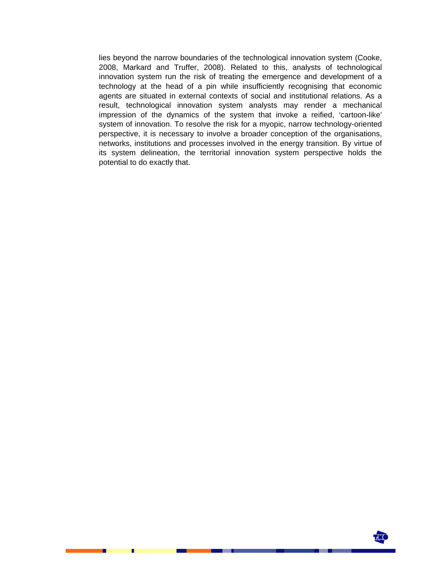lies beyond the narrow boundaries of the technological innovation system (Cooke, 2008, Markard and Truffer, 2008). Related to this, analysts of technological innovation system run the risk of treating the emergence and development of a technology at the head of a pin while insufficiently recognising that economic agents are situated in external contexts of social and institutional relations. As a result, technological innovation system analysts may render a mechanical impression of the dynamics of the system that invoke a reified, 'cartoon-like' system of innovation. To resolve the risk for a myopic, narrow technology-oriented perspective, it is necessary to involve a broader conception of the organisations, networks, institutions and processes involved in the energy transition. By virtue of its system delineation, the territorial innovation system perspective holds the potential to do exactly that.

**LIO**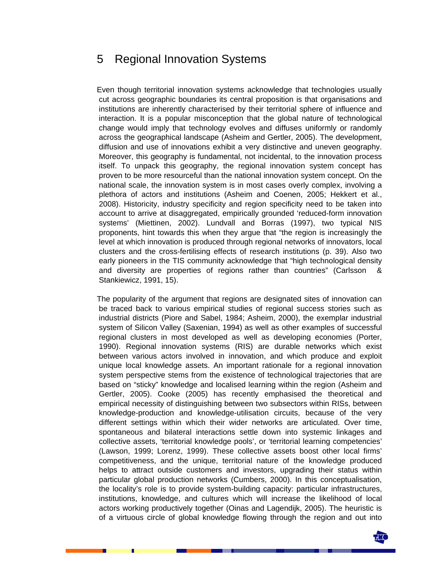### 5 Regional Innovation Systems

Even though territorial innovation systems acknowledge that technologies usually cut across geographic boundaries its central proposition is that organisations and institutions are inherently characterised by their territorial sphere of influence and interaction. It is a popular misconception that the global nature of technological change would imply that technology evolves and diffuses uniformly or randomly across the geographical landscape (Asheim and Gertler, 2005). The development, diffusion and use of innovations exhibit a very distinctive and uneven geography. Moreover, this geography is fundamental, not incidental, to the innovation process itself. To unpack this geography, the regional innovation system concept has proven to be more resourceful than the national innovation system concept. On the national scale, the innovation system is in most cases overly complex, involving a plethora of actors and institutions (Asheim and Coenen, 2005; Hekkert et al., 2008). Historicity, industry specificity and region specificity need to be taken into account to arrive at disaggregated, empirically grounded 'reduced-form innovation systems' (Miettinen, 2002). Lundvall and Borras (1997), two typical NIS proponents, hint towards this when they argue that "the region is increasingly the level at which innovation is produced through regional networks of innovators, local clusters and the cross-fertilising effects of research institutions (p. 39). Also two early pioneers in the TIS community acknowledge that "high technological density and diversity are properties of regions rather than countries" (Carlsson & Stankiewicz, 1991, 15).

The popularity of the argument that regions are designated sites of innovation can be traced back to various empirical studies of regional success stories such as industrial districts (Piore and Sabel, 1984; Asheim, 2000), the exemplar industrial system of Silicon Valley (Saxenian, 1994) as well as other examples of successful regional clusters in most developed as well as developing economies (Porter, 1990). Regional innovation systems (RIS) are durable networks which exist between various actors involved in innovation, and which produce and exploit unique local knowledge assets. An important rationale for a regional innovation system perspective stems from the existence of technological trajectories that are based on "sticky" knowledge and localised learning within the region (Asheim and Gertler, 2005). Cooke (2005) has recently emphasised the theoretical and empirical necessity of distinguishing between two subsectors within RISs, between knowledge-production and knowledge-utilisation circuits, because of the very different settings within which their wider networks are articulated. Over time, spontaneous and bilateral interactions settle down into systemic linkages and collective assets, 'territorial knowledge pools', or 'territorial learning competencies' (Lawson, 1999; Lorenz, 1999). These collective assets boost other local firms' competitiveness, and the unique, territorial nature of the knowledge produced helps to attract outside customers and investors, upgrading their status within particular global production networks (Cumbers, 2000). In this conceptualisation, the locality's role is to provide system-building capacity: particular infrastructures, institutions, knowledge, and cultures which will increase the likelihood of local actors working productively together (Oinas and Lagendijk, 2005). The heuristic is of a virtuous circle of global knowledge flowing through the region and out into

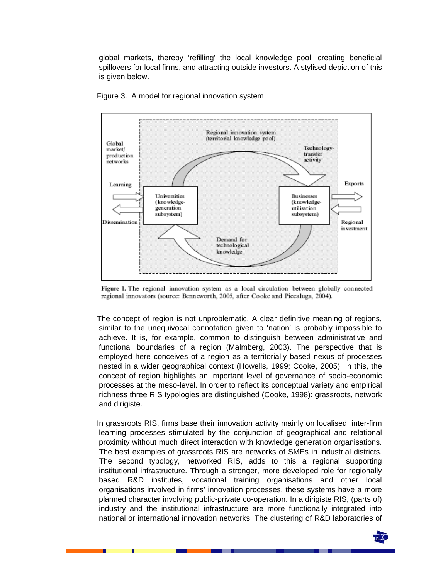global markets, thereby 'refilling' the local knowledge pool, creating beneficial spillovers for local firms, and attracting outside investors. A stylised depiction of this is given below.





Figure 1. The regional innovation system as a local circulation between globally connected regional innovators (source: Benneworth, 2005, after Cooke and Piccaluga, 2004).

The concept of region is not unproblematic. A clear definitive meaning of regions, similar to the unequivocal connotation given to 'nation' is probably impossible to achieve. It is, for example, common to distinguish between administrative and functional boundaries of a region (Malmberg, 2003). The perspective that is employed here conceives of a region as a territorially based nexus of processes nested in a wider geographical context (Howells, 1999; Cooke, 2005). In this, the concept of region highlights an important level of governance of socio-economic processes at the meso-level. In order to reflect its conceptual variety and empirical richness three RIS typologies are distinguished (Cooke, 1998): grassroots, network and dirigiste.

In grassroots RIS, firms base their innovation activity mainly on localised, inter-firm learning processes stimulated by the conjunction of geographical and relational proximity without much direct interaction with knowledge generation organisations. The best examples of grassroots RIS are networks of SMEs in industrial districts. The second typology, networked RIS, adds to this a regional supporting institutional infrastructure. Through a stronger, more developed role for regionally based R&D institutes, vocational training organisations and other local organisations involved in firms' innovation processes, these systems have a more planned character involving public-private co-operation. In a dirigiste RIS, (parts of) industry and the institutional infrastructure are more functionally integrated into national or international innovation networks. The clustering of R&D laboratories of

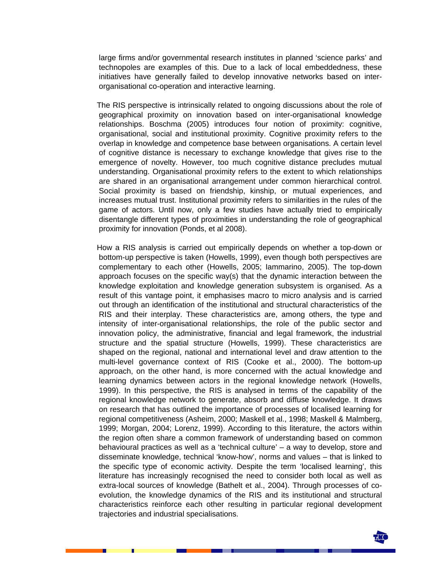large firms and/or governmental research institutes in planned 'science parks' and technopoles are examples of this. Due to a lack of local embeddedness, these initiatives have generally failed to develop innovative networks based on interorganisational co-operation and interactive learning.

The RIS perspective is intrinsically related to ongoing discussions about the role of geographical proximity on innovation based on inter-organisational knowledge relationships. Boschma (2005) introduces four notion of proximity: cognitive, organisational, social and institutional proximity. Cognitive proximity refers to the overlap in knowledge and competence base between organisations. A certain level of cognitive distance is necessary to exchange knowledge that gives rise to the emergence of novelty. However, too much cognitive distance precludes mutual understanding. Organisational proximity refers to the extent to which relationships are shared in an organisational arrangement under common hierarchical control. Social proximity is based on friendship, kinship, or mutual experiences, and increases mutual trust. Institutional proximity refers to similarities in the rules of the game of actors. Until now, only a few studies have actually tried to empirically disentangle different types of proximities in understanding the role of geographical proximity for innovation (Ponds, et al 2008).

How a RIS analysis is carried out empirically depends on whether a top-down or bottom-up perspective is taken (Howells, 1999), even though both perspectives are complementary to each other (Howells, 2005; Iammarino, 2005). The top-down approach focuses on the specific way(s) that the dynamic interaction between the knowledge exploitation and knowledge generation subsystem is organised. As a result of this vantage point, it emphasises macro to micro analysis and is carried out through an identification of the institutional and structural characteristics of the RIS and their interplay. These characteristics are, among others, the type and intensity of inter-organisational relationships, the role of the public sector and innovation policy, the administrative, financial and legal framework, the industrial structure and the spatial structure (Howells, 1999). These characteristics are shaped on the regional, national and international level and draw attention to the multi-level governance context of RIS (Cooke et al., 2000). The bottom-up approach, on the other hand, is more concerned with the actual knowledge and learning dynamics between actors in the regional knowledge network (Howells, 1999). In this perspective, the RIS is analysed in terms of the capability of the regional knowledge network to generate, absorb and diffuse knowledge. It draws on research that has outlined the importance of processes of localised learning for regional competitiveness (Asheim, 2000; Maskell et al., 1998; Maskell & Malmberg, 1999; Morgan, 2004; Lorenz, 1999). According to this literature, the actors within the region often share a common framework of understanding based on common behavioural practices as well as a 'technical culture' – a way to develop, store and disseminate knowledge, technical 'know-how', norms and values – that is linked to the specific type of economic activity. Despite the term 'localised learning', this literature has increasingly recognised the need to consider both local as well as extra-local sources of knowledge (Bathelt et al., 2004). Through processes of coevolution, the knowledge dynamics of the RIS and its institutional and structural characteristics reinforce each other resulting in particular regional development trajectories and industrial specialisations.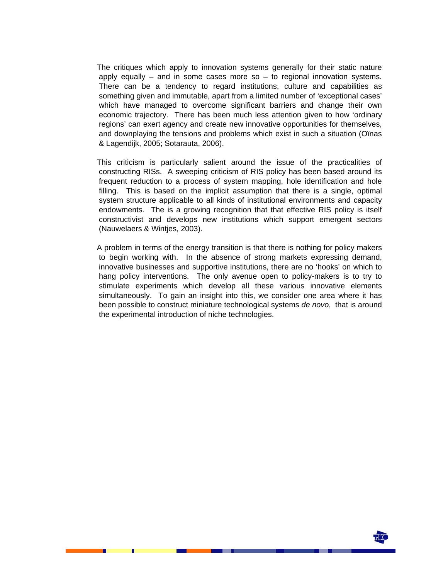The critiques which apply to innovation systems generally for their static nature apply equally  $-$  and in some cases more so  $-$  to regional innovation systems. There can be a tendency to regard institutions, culture and capabilities as something given and immutable, apart from a limited number of 'exceptional cases' which have managed to overcome significant barriers and change their own economic trajectory. There has been much less attention given to how 'ordinary regions' can exert agency and create new innovative opportunities for themselves, and downplaying the tensions and problems which exist in such a situation (Oïnas & Lagendijk, 2005; Sotarauta, 2006).

This criticism is particularly salient around the issue of the practicalities of constructing RISs. A sweeping criticism of RIS policy has been based around its frequent reduction to a process of system mapping, hole identification and hole filling. This is based on the implicit assumption that there is a single, optimal system structure applicable to all kinds of institutional environments and capacity endowments. The is a growing recognition that that effective RIS policy is itself constructivist and develops new institutions which support emergent sectors (Nauwelaers & Wintjes, 2003).

A problem in terms of the energy transition is that there is nothing for policy makers to begin working with. In the absence of strong markets expressing demand, innovative businesses and supportive institutions, there are no 'hooks' on which to hang policy interventions. The only avenue open to policy-makers is to try to stimulate experiments which develop all these various innovative elements simultaneously. To gain an insight into this, we consider one area where it has been possible to construct miniature technological systems *de novo*, that is around the experimental introduction of niche technologies.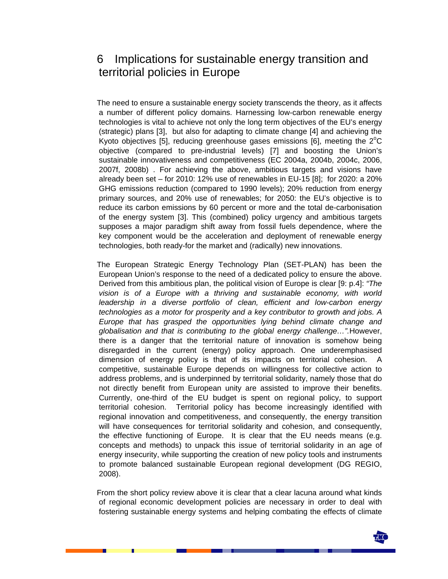## 6 Implications for sustainable energy transition and territorial policies in Europe

The need to ensure a sustainable energy society transcends the theory, as it affects a number of different policy domains. Harnessing low-carbon renewable energy technologies is vital to achieve not only the long term objectives of the EU's energy (strategic) plans [3], but also for adapting to climate change [4] and achieving the Kyoto objectives [5], reducing greenhouse gases emissions [6], meeting the  $2^{\circ}$ C objective (compared to pre-industrial levels) [7] and boosting the Union's sustainable innovativeness and competitiveness (EC 2004a, 2004b, 2004c, 2006, 2007f, 2008b) . For achieving the above, ambitious targets and visions have already been set – for 2010: 12% use of renewables in EU-15 [8]; for 2020: a 20% GHG emissions reduction (compared to 1990 levels); 20% reduction from energy primary sources, and 20% use of renewables; for 2050: the EU's objective is to reduce its carbon emissions by 60 percent or more and the total de-carbonisation of the energy system [3]. This (combined) policy urgency and ambitious targets supposes a major paradigm shift away from fossil fuels dependence, where the key component would be the acceleration and deployment of renewable energy technologies, both ready-for the market and (radically) new innovations.

The European Strategic Energy Technology Plan (SET-PLAN) has been the European Union's response to the need of a dedicated policy to ensure the above. Derived from this ambitious plan, the political vision of Europe is clear [9: p.4]: *"The vision is of a Europe with a thriving and sustainable economy, with world leadership in a diverse portfolio of clean, efficient and low-carbon energy technologies as a motor for prosperity and a key contributor to growth and jobs. A Europe that has grasped the opportunities lying behind climate change and globalisation and that is contributing to the global energy challenge…".*However, there is a danger that the territorial nature of innovation is somehow being disregarded in the current (energy) policy approach. One underemphasised dimension of energy policy is that of its impacts on territorial cohesion. A competitive, sustainable Europe depends on willingness for collective action to address problems, and is underpinned by territorial solidarity, namely those that do not directly benefit from European unity are assisted to improve their benefits. Currently, one-third of the EU budget is spent on regional policy, to support territorial cohesion. Territorial policy has become increasingly identified with regional innovation and competitiveness, and consequently, the energy transition will have consequences for territorial solidarity and cohesion, and consequently, the effective functioning of Europe. It is clear that the EU needs means (e.g. concepts and methods) to unpack this issue of territorial solidarity in an age of energy insecurity, while supporting the creation of new policy tools and instruments to promote balanced sustainable European regional development (DG REGIO, 2008).

From the short policy review above it is clear that a clear lacuna around what kinds of regional economic development policies are necessary in order to deal with fostering sustainable energy systems and helping combating the effects of climate

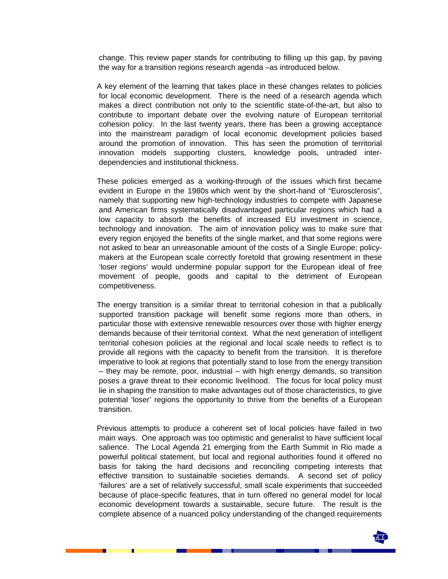change. This review paper stands for contributing to filling up this gap, by paving the way for a transition regions research agenda –as introduced below.

A key element of the learning that takes place in these changes relates to policies for local economic development. There is the need of a research agenda which makes a direct contribution not only to the scientific state-of-the-art, but also to contribute to important debate over the evolving nature of European territorial cohesion policy. In the last twenty years, there has been a growing acceptance into the mainstream paradigm of local economic development policies based around the promotion of innovation. This has seen the promotion of territorial innovation models supporting clusters, knowledge pools, untraded interdependencies and institutional thickness.

These policies emerged as a working-through of the issues which first became evident in Europe in the 1980s which went by the short-hand of "Eurosclerosis", namely that supporting new high-technology industries to compete with Japanese and American firms systematically disadvantaged particular regions which had a low capacity to absorb the benefits of increased EU investment in science, technology and innovation. The aim of innovation policy was to make sure that every region enjoyed the benefits of the single market, and that some regions were not asked to bear an unreasonable amount of the costs of a Single Europe; policymakers at the European scale correctly foretold that growing resentment in these 'loser regions' would undermine popular support for the European ideal of free movement of people, goods and capital to the detriment of European competitiveness.

The energy transition is a similar threat to territorial cohesion in that a publically supported transition package will benefit some regions more than others, in particular those with extensive renewable resources over those with higher energy demands because of their territorial context. What the next generation of intelligent territorial cohesion policies at the regional and local scale needs to reflect is to provide all regions with the capacity to benefit from the transition. It is therefore imperative to look at regions that potentially stand to lose from the energy transition – they may be remote, poor, industrial – with high energy demands, so transition poses a grave threat to their economic livelihood. The focus for local policy must lie in shaping the transition to make advantages out of those characteristics, to give potential 'loser' regions the opportunity to thrive from the benefits of a European transition.

Previous attempts to produce a coherent set of local policies have failed in two main ways. One approach was too optimistic and generalist to have sufficient local salience. The Local Agenda 21 emerging from the Earth Summit in Rio made a powerful political statement, but local and regional authorities found it offered no basis for taking the hard decisions and reconciling competing interests that effective transition to sustainable societies demands. A second set of policy 'failures' are a set of relatively successful, small scale experiments that succeeded because of place-specific features, that in turn offered no general model for local economic development towards a sustainable, secure future. The result is the complete absence of a nuanced policy understanding of the changed requirements

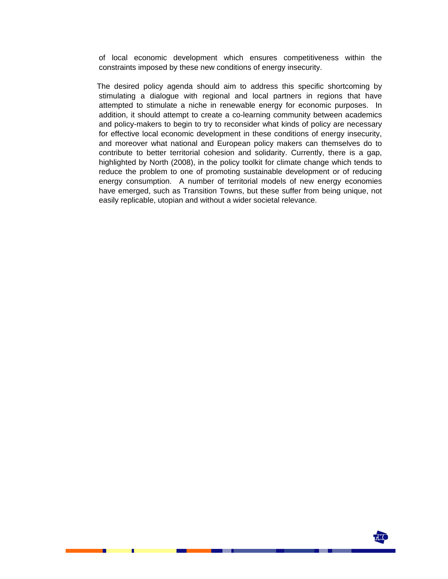of local economic development which ensures competitiveness within the constraints imposed by these new conditions of energy insecurity.

The desired policy agenda should aim to address this specific shortcoming by stimulating a dialogue with regional and local partners in regions that have attempted to stimulate a niche in renewable energy for economic purposes. In addition, it should attempt to create a co-learning community between academics and policy-makers to begin to try to reconsider what kinds of policy are necessary for effective local economic development in these conditions of energy insecurity, and moreover what national and European policy makers can themselves do to contribute to better territorial cohesion and solidarity. Currently, there is a gap, highlighted by North (2008), in the policy toolkit for climate change which tends to reduce the problem to one of promoting sustainable development or of reducing energy consumption. A number of territorial models of new energy economies have emerged, such as Transition Towns, but these suffer from being unique, not easily replicable, utopian and without a wider societal relevance.

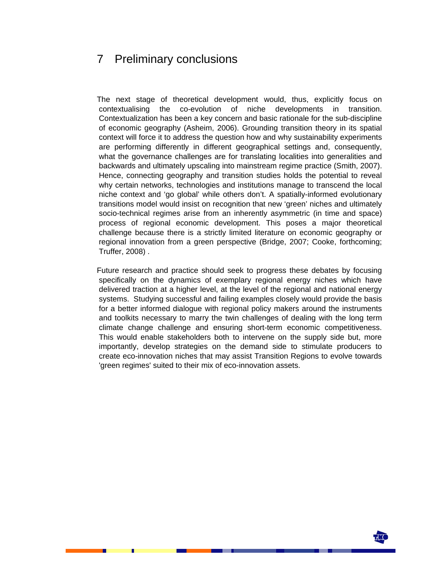## 7 Preliminary conclusions

The next stage of theoretical development would, thus, explicitly focus on contextualising the co-evolution of niche developments in transition. Contextualization has been a key concern and basic rationale for the sub-discipline of economic geography (Asheim, 2006). Grounding transition theory in its spatial context will force it to address the question how and why sustainability experiments are performing differently in different geographical settings and, consequently, what the governance challenges are for translating localities into generalities and backwards and ultimately upscaling into mainstream regime practice (Smith, 2007). Hence, connecting geography and transition studies holds the potential to reveal why certain networks, technologies and institutions manage to transcend the local niche context and 'go global' while others don't. A spatially-informed evolutionary transitions model would insist on recognition that new 'green' niches and ultimately socio-technical regimes arise from an inherently asymmetric (in time and space) process of regional economic development. This poses a major theoretical challenge because there is a strictly limited literature on economic geography or regional innovation from a green perspective (Bridge, 2007; Cooke, forthcoming; Truffer, 2008) .

Future research and practice should seek to progress these debates by focusing specifically on the dynamics of exemplary regional energy niches which have delivered traction at a higher level, at the level of the regional and national energy systems. Studying successful and failing examples closely would provide the basis for a better informed dialogue with regional policy makers around the instruments and toolkits necessary to marry the twin challenges of dealing with the long term climate change challenge and ensuring short-term economic competitiveness. This would enable stakeholders both to intervene on the supply side but, more importantly, develop strategies on the demand side to stimulate producers to create eco-innovation niches that may assist Transition Regions to evolve towards 'green regimes' suited to their mix of eco-innovation assets.

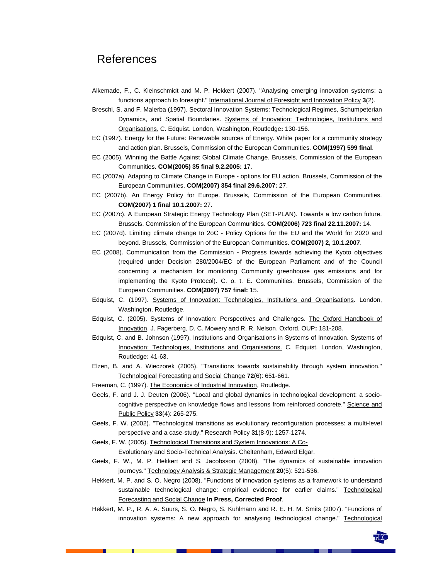### References

- Alkemade, F., C. Kleinschmidt and M. P. Hekkert (2007). "Analysing emerging innovation systems: a functions approach to foresight." International Journal of Foresight and Innovation Policy **3**(2).
- Breschi, S. and F. Malerba (1997). Sectoral Innovation Systems: Technological Regimes, Schumpeterian Dynamics, and Spatial Boundaries. Systems of Innovation: Technologies, Institutions and Organisations. C. Edquist. London, Washington, Routledge**:** 130-156.
- EC (1997). Energy for the Future: Renewable sources of Energy. White paper for a community strategy and action plan. Brussels, Commission of the European Communities. **COM(1997) 599 final**.
- EC (2005). Winning the Battle Against Global Climate Change. Brussels, Commission of the European Communities. **COM(2005) 35 final 9.2.2005:** 17.
- EC (2007a). Adapting to Climate Change in Europe options for EU action. Brussels, Commission of the European Communities. **COM(2007) 354 final 29.6.2007:** 27.
- EC (2007b). An Energy Policy for Europe. Brussels, Commission of the European Communities. **COM(2007) 1 final 10.1.2007:** 27.
- EC (2007c). A European Strategic Energy Technology Plan (SET-PLAN). Towards a low carbon future. Brussels, Commission of the European Communities. **COM(2006) 723 final 22.11.2007:** 14.
- EC (2007d). Limiting climate change to 2oC Policy Options for the EU and the World for 2020 and beyond. Brussels, Commission of the European Communities. **COM(2007) 2, 10.1.2007**.
- EC (2008). Communication from the Commission Progress towards achieving the Kyoto objectives (required under Decision 280/2004/EC of the European Parliament and of the Council concerning a mechanism for monitoring Community greenhouse gas emissions and for implementing the Kyoto Protocol). C. o. t. E. Communities. Brussels, Commission of the European Communities. **COM(2007) 757 final:** 15.
- Edquist, C. (1997). Systems of Innovation: Technologies, Institutions and Organisations. London, Washington, Routledge.
- Edquist, C. (2005). Systems of Innovation: Perspectives and Challenges. The Oxford Handbook of Innovation. J. Fagerberg, D. C. Mowery and R. R. Nelson. Oxford, OUP**:** 181-208.
- Edquist, C. and B. Johnson (1997). Institutions and Organisations in Systems of Innovation. Systems of Innovation: Technologies, Institutions and Organisations. C. Edquist. London, Washington, Routledge**:** 41-63.
- Elzen, B. and A. Wieczorek (2005). "Transitions towards sustainability through system innovation." Technological Forecasting and Social Change **72**(6): 651-661.
- Freeman, C. (1997). The Economics of Industrial Innovation, Routledge.
- Geels, F. and J. J. Deuten (2006). "Local and global dynamics in technological development: a sociocognitive perspective on knowledge flows and lessons from reinforced concrete." Science and Public Policy **33**(4): 265-275.
- Geels, F. W. (2002). "Technological transitions as evolutionary reconfiguration processes: a multi-level perspective and a case-study." Research Policy **31**(8-9): 1257-1274.
- Geels, F. W. (2005). Technological Transitions and System Innovations: A Co-Evolutionary and Socio-Technical Analysis. Cheltenham, Edward Elgar.
- Geels, F. W., M. P. Hekkert and S. Jacobsson (2008). "The dynamics of sustainable innovation journeys." Technology Analysis & Strategic Management **20**(5): 521-536.
- Hekkert, M. P. and S. O. Negro (2008). "Functions of innovation systems as a framework to understand sustainable technological change: empirical evidence for earlier claims." Technological Forecasting and Social Change **In Press, Corrected Proof**.
- Hekkert, M. P., R. A. A. Suurs, S. O. Negro, S. Kuhlmann and R. E. H. M. Smits (2007). "Functions of innovation systems: A new approach for analysing technological change." Technological

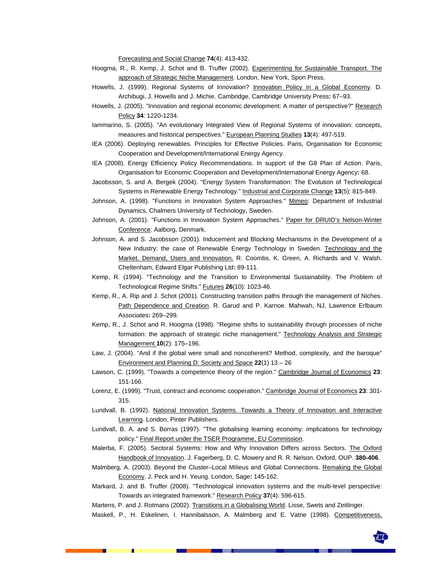Forecasting and Social Change **74**(4): 413-432.

- Hoogma, R., R. Kemp, J. Schot and B. Truffer (2002). Experimenting for Sustainable Transport. The approach of Strategic Niche Management. London, New York, Spon Press.
- Howells, J. (1999). Regional Systems of Innovation? Innovation Policy in a Global Economy. D. Archibugi, J. Howells and J. Michie. Cambridge, Cambridge University Press**:** 67–93.
- Howells, J. (2005). "Innovation and regional economic development: A matter of perspective?" Research Policy **34**: 1220-1234.
- Iammarino, S. (2005). "An evolutionary Integrated View of Regional Systems of innovation: concepts, measures and historical perspectives." European Planning Studies **13**(4): 497-519.
- IEA (2006). Deploying renewables. Principles for Effective Policies. Paris, Organisation for Economic Cooperation and Development/International Energy Agency.
- IEA (2008). Energy Efficiency Policy Recommendations. In support of the G8 Plan of Action. Paris, Organisation for Economic Cooperation and Development/International Energy Agency**:** 68.
- Jacobsson, S. and A. Bergek (2004). "Energy System Transformation: The Evolution of Technological Systems in Renewable Energy Technology." Industrial and Corporate Change **13**(5): 815-849.
- Johnson, A. (1998). "Functions in Innovation System Approaches." Mimeo: Department of Industrial Dynamics, Chalmers University of Technology, Sweden.
- Johnson, A. (2001). "Functions in Innovation System Approaches." Paper for DRUID's Nelson-Winter Conference: Aalborg, Denmark.
- Johnson, A. and S. Jacobsson (2001). Inducement and Blocking Mechanisms in the Development of a New Industry: the case of Renewable Energy Technology in Sweden. Technology and the Market. Demand, Users and Innovation. R. Coombs, K. Green, A. Richards and V. Walsh. Cheltenham, Edward Elgar Publishing Ltd**:** 89-111.
- Kemp, R. (1994). "Technology and the Transition to Environmental Sustainability. The Problem of Technological Regime Shifts." Futures **26**(10): 1023-46.
- Kemp, R., A. Rip and J. Schot (2001). Constructing transition paths through the management of Niches. Path Dependence and Creation. R. Garud and P. Karnoe. Mahwah, NJ, Lawrence Erlbaum Associates**:** 269–299.
- Kemp, R., J. Schot and R. Hoogma (1998). "Regime shifts to sustainability through processes of niche formation: the approach of strategic niche management." Technology Analysis and Strategic Management **10**(2): 175–196.
- Law, J. (2004). "And if the global were small and noncoherent? Method, complexity, and the baroque" Environment and Planning D: Society and Space **22**(1) 13 – 26
- Lawson, C. (1999). "Towards a competence theory of the region." Cambridge Journal of Economics **23**: 151-166.
- Lorenz, E. (1999). "Trust, contract and economic cooperation." Cambridge Journal of Economics **23**: 301- 315.
- Lundvall, B. (1992). National Innovation Systems. Towards a Theory of Innovation and Interactive Learning. London, Pinter Publishers.
- Lundvall, B. A. and S. Borras (1997). "The globalising learning economy: implications for technology policy." Final Report under the TSER Programme, EU Commission.

Malerba, F. (2005). Sectoral Systems: How and Why Innovation Differs across Sectors. The Oxford Handbook of Innovation. J. Fagerberg, D. C. Mowery and R. R. Nelson. Oxford, OUP. **380-406**.

- Malmberg, A. (2003). Beyond the Cluster–Local Milieus and Global Connections. Remaking the Global Economy. J. Peck and H. Yeung. London, Sage**:** 145-162.
- Markard, J. and B. Truffer (2008). "Technological innovation systems and the multi-level perspective: Towards an integrated framework." Research Policy **37**(4): 596-615.
- Martens, P. and J. Rotmans (2002). Transitions in a Globalising World. Lisse, Swets and Zeitlinger.
- Maskell, P., H. Eskelinen, I. Hannibalsson, A. Malmberg and E. Vatne (1998). Competitiveness,

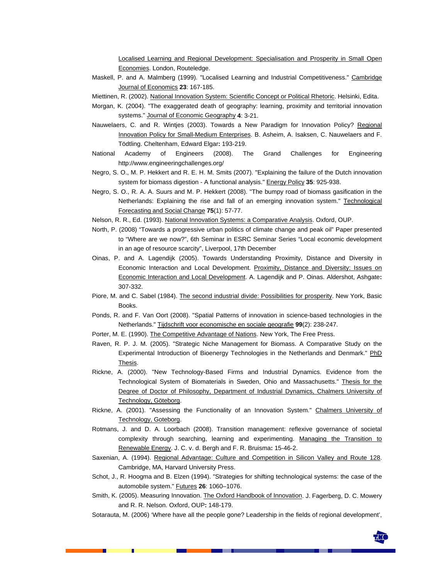Localised Learning and Regional Development: Specialisation and Prosperity in Small Open Economies. London, Routeledge.

- Maskell, P. and A. Malmberg (1999). "Localised Learning and Industrial Competitiveness." Cambridge Journal of Economics **23**: 167-185.
- Miettinen, R. (2002). National Innovation System: Scientific Concept or Political Rhetoric. Helsinki, Edita.
- Morgan, K. (2004). "The exaggerated death of geography: learning, proximity and territorial innovation systems." Journal of Economic Geography **4**: 3-21.
- Nauwelaers, C. and R. Wintjes (2003). Towards a New Paradigm for Innovation Policy? Regional Innovation Policy for Small-Medium Enterprises. B. Asheim, A. Isaksen, C. Nauwelaers and F. Tödtling. Cheltenham, Edward Elgar**:** 193-219.
- National Academy of Engineers (2008). The Grand Challenges for Engineering http://www.engineeringchallenges.org/
- Negro, S. O., M. P. Hekkert and R. E. H. M. Smits (2007). "Explaining the failure of the Dutch innovation system for biomass digestion - A functional analysis." Energy Policy **35**: 925-938.
- Negro, S. O., R. A. A. Suurs and M. P. Hekkert (2008). "The bumpy road of biomass gasification in the Netherlands: Explaining the rise and fall of an emerging innovation system." Technological Forecasting and Social Change **75**(1): 57-77.
- Nelson, R. R., Ed. (1993). National Innovation Systems: a Comparative Analysis. Oxford, OUP.
- North, P. (2008) "Towards a progressive urban politics of climate change and peak oil" Paper presented to "Where are we now?", 6th Seminar in ESRC Seminar Series "Local economic development in an age of resource scarcity", Liverpool, 17th December
- Oinas, P. and A. Lagendijk (2005). Towards Understanding Proximity, Distance and Diversity in Economic Interaction and Local Development. Proximity, Distance and Diversity: Issues on Economic Interaction and Local Development. A. Lagendijk and P. Oinas. Aldershot, Ashgate**:**  307-332.
- Piore, M. and C. Sabel (1984). The second industrial divide: Possibilities for prosperity. New York, Basic Books.
- Ponds, R. and F. Van Oort (2008). "Spatial Patterns of innovation in science-based technologies in the Netherlands." Tijdschrift voor economische en sociale geografie **99**(2): 238-247.
- Porter, M. E. (1990). The Competitive Advantage of Nations. New York, The Free Press.
- Raven, R. P. J. M. (2005). "Strategic Niche Management for Biomass. A Comparative Study on the Experimental Introduction of Bioenergy Technologies in the Netherlands and Denmark." PhD **Thesis**
- Rickne, A. (2000). "New Technology-Based Firms and Industrial Dynamics. Evidence from the Technological System of Biomaterials in Sweden, Ohio and Massachusetts." Thesis for the Degree of Doctor of Philosophy, Department of Industrial Dynamics, Chalmers University of Technology, Göteborg.
- Rickne, A. (2001). "Assessing the Functionality of an Innovation System." Chalmers University of Technology, Goteborg.
- Rotmans, J. and D. A. Loorbach (2008). Transition management: reflexive governance of societal complexity through searching, learning and experimenting. Managing the Transition to Renewable Energy. J. C. v. d. Bergh and F. R. Bruisma**:** 15-46-2.
- Saxenian, A. (1994). Regional Advantage: Culture and Competition in Silicon Valley and Route 128. Cambridge, MA, Harvard University Press.
- Schot, J., R. Hoogma and B. Elzen (1994). "Strategies for shifting technological systems: the case of the automobile system." Futures **26**: 1060–1076.
- Smith, K. (2005). Measuring Innovation. The Oxford Handbook of Innovation. J. Fagerberg, D. C. Mowery and R. R. Nelson. Oxford, OUP**:** 148-179.
- Sotarauta, M. (2006) 'Where have all the people gone? Leadership in the fields of regional development',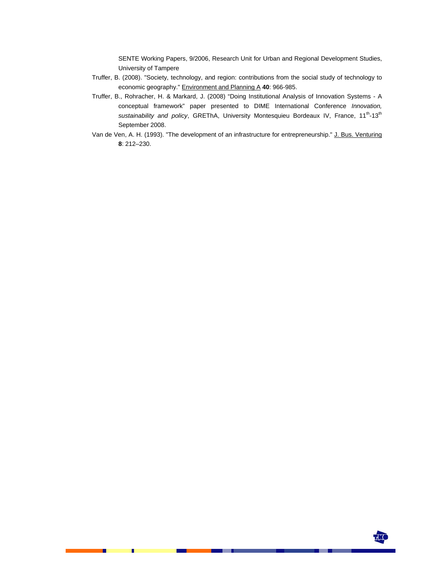SENTE Working Papers, 9/2006, Research Unit for Urban and Regional Development Studies, University of Tampere

- Truffer, B. (2008). "Society, technology, and region: contributions from the social study of technology to economic geography." Environment and Planning A **40**: 966-985.
- Truffer, B., Rohracher, H. & Markard, J. (2008) "Doing Institutional Analysis of Innovation Systems A conceptual framework" paper presented to DIME International Conference *Innovation,*  sustainability and policy, GREThA, University Montesquieu Bordeaux IV, France, 11<sup>th</sup>-13<sup>th</sup> September 2008.
- Van de Ven, A. H. (1993). "The development of an infrastructure for entrepreneurship." J. Bus. Venturing **8**: 212–230.